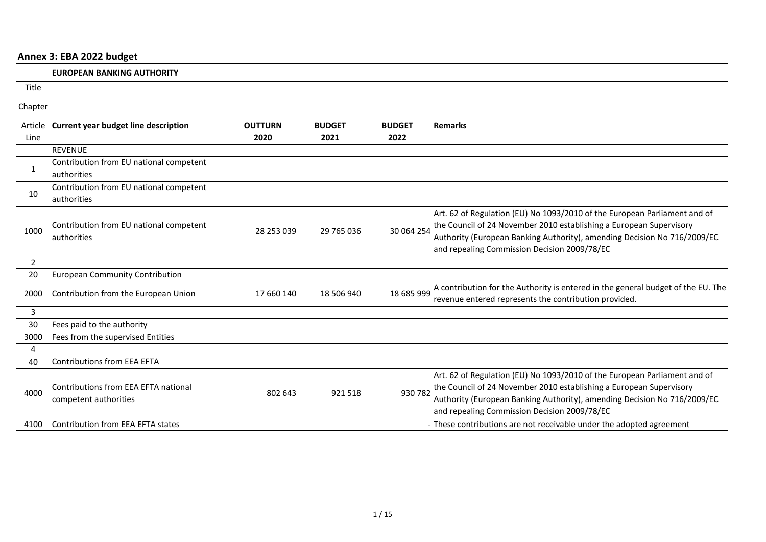# **Annex 3: EBA 2022 budget**

|                | <b>EUROPEAN BANKING AUTHORITY</b>                             |                |               |               |                                                                                                                                                                                                                                                                              |
|----------------|---------------------------------------------------------------|----------------|---------------|---------------|------------------------------------------------------------------------------------------------------------------------------------------------------------------------------------------------------------------------------------------------------------------------------|
| Title          |                                                               |                |               |               |                                                                                                                                                                                                                                                                              |
| Chapter        |                                                               |                |               |               |                                                                                                                                                                                                                                                                              |
| Article        | <b>Current year budget line description</b>                   | <b>OUTTURN</b> | <b>BUDGET</b> | <b>BUDGET</b> | <b>Remarks</b>                                                                                                                                                                                                                                                               |
| Line           |                                                               | 2020           | 2021          | 2022          |                                                                                                                                                                                                                                                                              |
|                | <b>REVENUE</b>                                                |                |               |               |                                                                                                                                                                                                                                                                              |
| 1              | Contribution from EU national competent<br>authorities        |                |               |               |                                                                                                                                                                                                                                                                              |
| 10             | Contribution from EU national competent<br>authorities        |                |               |               |                                                                                                                                                                                                                                                                              |
| 1000           | Contribution from EU national competent<br>authorities        | 28 253 039     | 29 765 036    | 30 064 254    | Art. 62 of Regulation (EU) No 1093/2010 of the European Parliament and of<br>the Council of 24 November 2010 establishing a European Supervisory<br>Authority (European Banking Authority), amending Decision No 716/2009/EC<br>and repealing Commission Decision 2009/78/EC |
| $\overline{2}$ |                                                               |                |               |               |                                                                                                                                                                                                                                                                              |
| 20             | <b>European Community Contribution</b>                        |                |               |               |                                                                                                                                                                                                                                                                              |
| 2000           | Contribution from the European Union                          | 17 660 140     | 18 506 940    | 18 685 999    | A contribution for the Authority is entered in the general budget of the EU. The<br>revenue entered represents the contribution provided.                                                                                                                                    |
| 3              |                                                               |                |               |               |                                                                                                                                                                                                                                                                              |
| 30             | Fees paid to the authority                                    |                |               |               |                                                                                                                                                                                                                                                                              |
| 3000           | Fees from the supervised Entities                             |                |               |               |                                                                                                                                                                                                                                                                              |
| $\overline{4}$ |                                                               |                |               |               |                                                                                                                                                                                                                                                                              |
| 40             | <b>Contributions from EEA EFTA</b>                            |                |               |               |                                                                                                                                                                                                                                                                              |
| 4000           | Contributions from EEA EFTA national<br>competent authorities | 802 643        | 921 518       | 930 782       | Art. 62 of Regulation (EU) No 1093/2010 of the European Parliament and of<br>the Council of 24 November 2010 establishing a European Supervisory<br>Authority (European Banking Authority), amending Decision No 716/2009/EC<br>and repealing Commission Decision 2009/78/EC |
| 4100           | Contribution from EEA EFTA states                             |                |               |               | - These contributions are not receivable under the adopted agreement                                                                                                                                                                                                         |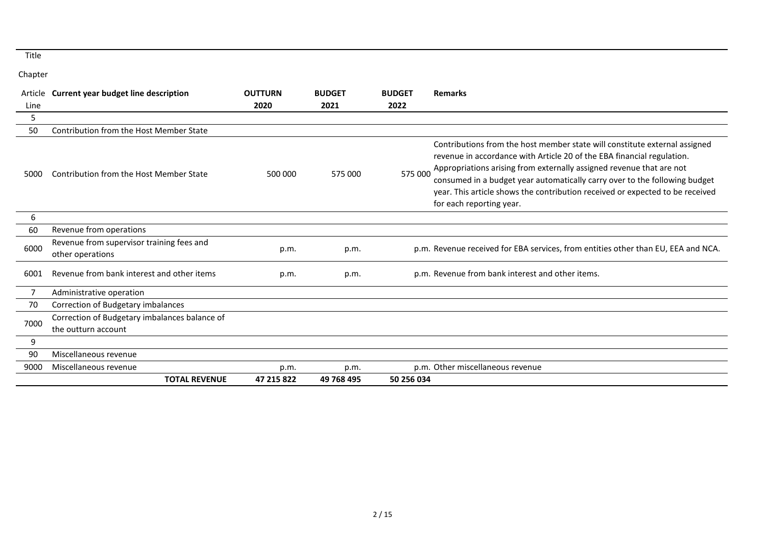|      | Article Current year budget line description                         | <b>OUTTURN</b> | <b>BUDGET</b> | <b>BUDGET</b> | <b>Remarks</b>                                                                                                                                                                                                                                                                                                                                                                                                          |
|------|----------------------------------------------------------------------|----------------|---------------|---------------|-------------------------------------------------------------------------------------------------------------------------------------------------------------------------------------------------------------------------------------------------------------------------------------------------------------------------------------------------------------------------------------------------------------------------|
| Line |                                                                      | 2020           | 2021          | 2022          |                                                                                                                                                                                                                                                                                                                                                                                                                         |
| 5    |                                                                      |                |               |               |                                                                                                                                                                                                                                                                                                                                                                                                                         |
| 50   | <b>Contribution from the Host Member State</b>                       |                |               |               |                                                                                                                                                                                                                                                                                                                                                                                                                         |
| 5000 | Contribution from the Host Member State                              | 500 000        | 575 000       | 575 000       | Contributions from the host member state will constitute external assigned<br>revenue in accordance with Article 20 of the EBA financial regulation.<br>Appropriations arising from externally assigned revenue that are not<br>consumed in a budget year automatically carry over to the following budget<br>year. This article shows the contribution received or expected to be received<br>for each reporting year. |
| 6    |                                                                      |                |               |               |                                                                                                                                                                                                                                                                                                                                                                                                                         |
| 60   | Revenue from operations                                              |                |               |               |                                                                                                                                                                                                                                                                                                                                                                                                                         |
| 6000 | Revenue from supervisor training fees and<br>other operations        | p.m.           | p.m.          |               | p.m. Revenue received for EBA services, from entities other than EU, EEA and NCA.                                                                                                                                                                                                                                                                                                                                       |
| 6001 | Revenue from bank interest and other items                           | p.m.           | p.m.          |               | p.m. Revenue from bank interest and other items.                                                                                                                                                                                                                                                                                                                                                                        |
| 7    | Administrative operation                                             |                |               |               |                                                                                                                                                                                                                                                                                                                                                                                                                         |
| 70   | Correction of Budgetary imbalances                                   |                |               |               |                                                                                                                                                                                                                                                                                                                                                                                                                         |
| 7000 | Correction of Budgetary imbalances balance of<br>the outturn account |                |               |               |                                                                                                                                                                                                                                                                                                                                                                                                                         |
| 9    |                                                                      |                |               |               |                                                                                                                                                                                                                                                                                                                                                                                                                         |
| 90   | Miscellaneous revenue                                                |                |               |               |                                                                                                                                                                                                                                                                                                                                                                                                                         |
| 9000 | Miscellaneous revenue                                                | p.m.           | p.m.          |               | p.m. Other miscellaneous revenue                                                                                                                                                                                                                                                                                                                                                                                        |
|      | <b>TOTAL REVENUE</b>                                                 | 47 215 822     | 49 768 495    | 50 256 034    |                                                                                                                                                                                                                                                                                                                                                                                                                         |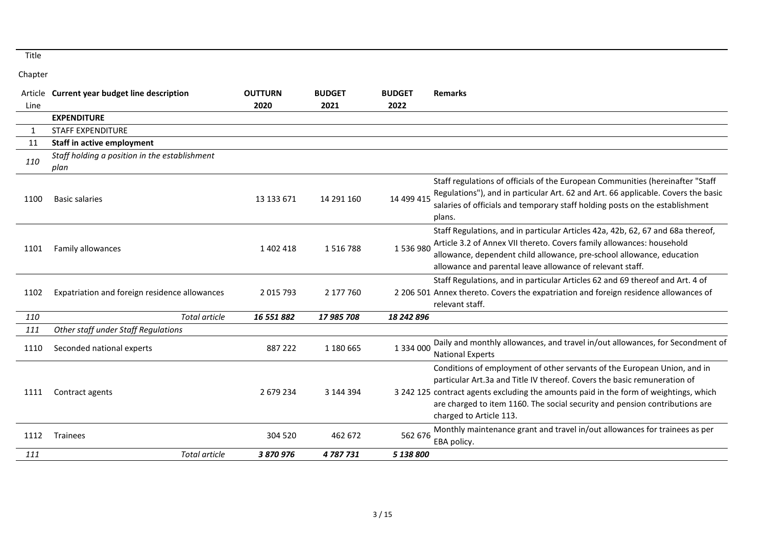|      | Article Current year budget line description          | <b>OUTTURN</b> | <b>BUDGET</b> | <b>BUDGET</b> | <b>Remarks</b>                                                                                                                                                                                                                                                                                                                                          |
|------|-------------------------------------------------------|----------------|---------------|---------------|---------------------------------------------------------------------------------------------------------------------------------------------------------------------------------------------------------------------------------------------------------------------------------------------------------------------------------------------------------|
| Line |                                                       | 2020           | 2021          | 2022          |                                                                                                                                                                                                                                                                                                                                                         |
|      | <b>EXPENDITURE</b>                                    |                |               |               |                                                                                                                                                                                                                                                                                                                                                         |
| 1    | <b>STAFF EXPENDITURE</b>                              |                |               |               |                                                                                                                                                                                                                                                                                                                                                         |
| 11   | <b>Staff in active employment</b>                     |                |               |               |                                                                                                                                                                                                                                                                                                                                                         |
| 110  | Staff holding a position in the establishment<br>plan |                |               |               |                                                                                                                                                                                                                                                                                                                                                         |
| 1100 | <b>Basic salaries</b>                                 | 13 133 671     | 14 291 160    | 14 499 415    | Staff regulations of officials of the European Communities (hereinafter "Staff<br>Regulations"), and in particular Art. 62 and Art. 66 applicable. Covers the basic<br>salaries of officials and temporary staff holding posts on the establishment<br>plans.                                                                                           |
| 1101 | Family allowances                                     | 1402418        | 1516788       | 1536980       | Staff Regulations, and in particular Articles 42a, 42b, 62, 67 and 68a thereof,<br>Article 3.2 of Annex VII thereto. Covers family allowances: household<br>allowance, dependent child allowance, pre-school allowance, education<br>allowance and parental leave allowance of relevant staff.                                                          |
| 1102 | Expatriation and foreign residence allowances         | 2 0 1 5 7 9 3  | 2 177 760     |               | Staff Regulations, and in particular Articles 62 and 69 thereof and Art. 4 of<br>2 206 501 Annex thereto. Covers the expatriation and foreign residence allowances of<br>relevant staff.                                                                                                                                                                |
| 110  | <b>Total article</b>                                  | 16 551 882     | 17 985 708    | 18 242 896    |                                                                                                                                                                                                                                                                                                                                                         |
| 111  | Other staff under Staff Regulations                   |                |               |               |                                                                                                                                                                                                                                                                                                                                                         |
| 1110 | Seconded national experts                             | 887 222        | 1 180 665     | 1 3 3 4 0 0 0 | Daily and monthly allowances, and travel in/out allowances, for Secondment of<br><b>National Experts</b>                                                                                                                                                                                                                                                |
| 1111 | Contract agents                                       | 2 679 234      | 3 144 394     |               | Conditions of employment of other servants of the European Union, and in<br>particular Art.3a and Title IV thereof. Covers the basic remuneration of<br>3 242 125 contract agents excluding the amounts paid in the form of weightings, which<br>are charged to item 1160. The social security and pension contributions are<br>charged to Article 113. |
| 1112 | Trainees                                              | 304 520        | 462 672       | 562 676       | Monthly maintenance grant and travel in/out allowances for trainees as per<br>EBA policy.                                                                                                                                                                                                                                                               |
| 111  | <b>Total article</b>                                  | 3 870 976      | 4787731       | 5 138 800     |                                                                                                                                                                                                                                                                                                                                                         |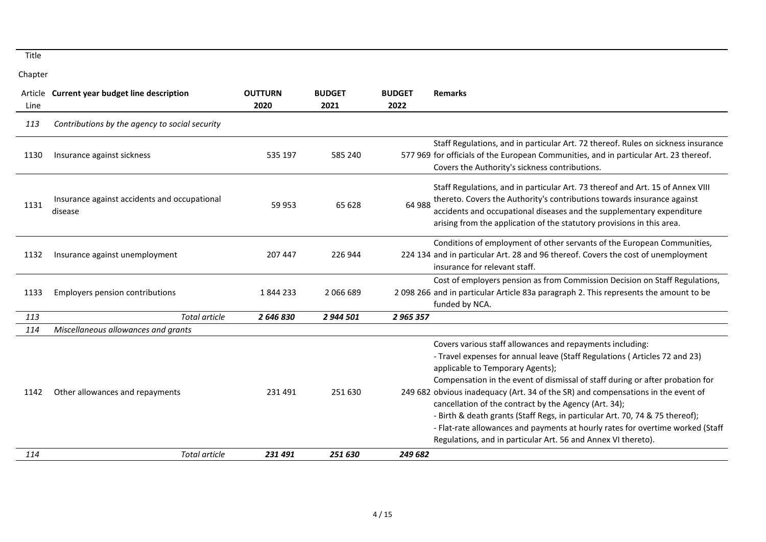| Line | Article Current year budget line description            | <b>OUTTURN</b><br>2020 | <b>BUDGET</b><br>2021 | <b>BUDGET</b><br>2022 | <b>Remarks</b>                                                                                                                                                                                                                                                                                                                                                                                                                                                                                                                                                                                                                               |
|------|---------------------------------------------------------|------------------------|-----------------------|-----------------------|----------------------------------------------------------------------------------------------------------------------------------------------------------------------------------------------------------------------------------------------------------------------------------------------------------------------------------------------------------------------------------------------------------------------------------------------------------------------------------------------------------------------------------------------------------------------------------------------------------------------------------------------|
| 113  | Contributions by the agency to social security          |                        |                       |                       |                                                                                                                                                                                                                                                                                                                                                                                                                                                                                                                                                                                                                                              |
| 1130 | Insurance against sickness                              | 535 197                | 585 240               |                       | Staff Regulations, and in particular Art. 72 thereof. Rules on sickness insurance<br>577 969 for officials of the European Communities, and in particular Art. 23 thereof.<br>Covers the Authority's sickness contributions.                                                                                                                                                                                                                                                                                                                                                                                                                 |
| 1131 | Insurance against accidents and occupational<br>disease | 59 953                 | 65 628                | 64 988                | Staff Regulations, and in particular Art. 73 thereof and Art. 15 of Annex VIII<br>thereto. Covers the Authority's contributions towards insurance against<br>accidents and occupational diseases and the supplementary expenditure<br>arising from the application of the statutory provisions in this area.                                                                                                                                                                                                                                                                                                                                 |
| 1132 | Insurance against unemployment                          | 207 447                | 226 944               |                       | Conditions of employment of other servants of the European Communities,<br>224 134 and in particular Art. 28 and 96 thereof. Covers the cost of unemployment<br>insurance for relevant staff.                                                                                                                                                                                                                                                                                                                                                                                                                                                |
| 1133 | Employers pension contributions                         | 1844233                | 2066689               |                       | Cost of employers pension as from Commission Decision on Staff Regulations,<br>2 098 266 and in particular Article 83a paragraph 2. This represents the amount to be<br>funded by NCA.                                                                                                                                                                                                                                                                                                                                                                                                                                                       |
| 113  | Total article                                           | 2 646 830              | 2 944 501             | 2 965 357             |                                                                                                                                                                                                                                                                                                                                                                                                                                                                                                                                                                                                                                              |
| 114  | Miscellaneous allowances and grants                     |                        |                       |                       |                                                                                                                                                                                                                                                                                                                                                                                                                                                                                                                                                                                                                                              |
| 1142 | Other allowances and repayments                         | 231 491                | 251 630               |                       | Covers various staff allowances and repayments including:<br>- Travel expenses for annual leave (Staff Regulations (Articles 72 and 23)<br>applicable to Temporary Agents);<br>Compensation in the event of dismissal of staff during or after probation for<br>249 682 obvious inadequacy (Art. 34 of the SR) and compensations in the event of<br>cancellation of the contract by the Agency (Art. 34);<br>- Birth & death grants (Staff Regs, in particular Art. 70, 74 & 75 thereof);<br>- Flat-rate allowances and payments at hourly rates for overtime worked (Staff<br>Regulations, and in particular Art. 56 and Annex VI thereto). |
| 114  | Total article                                           | 231491                 | 251 630               | 249 682               |                                                                                                                                                                                                                                                                                                                                                                                                                                                                                                                                                                                                                                              |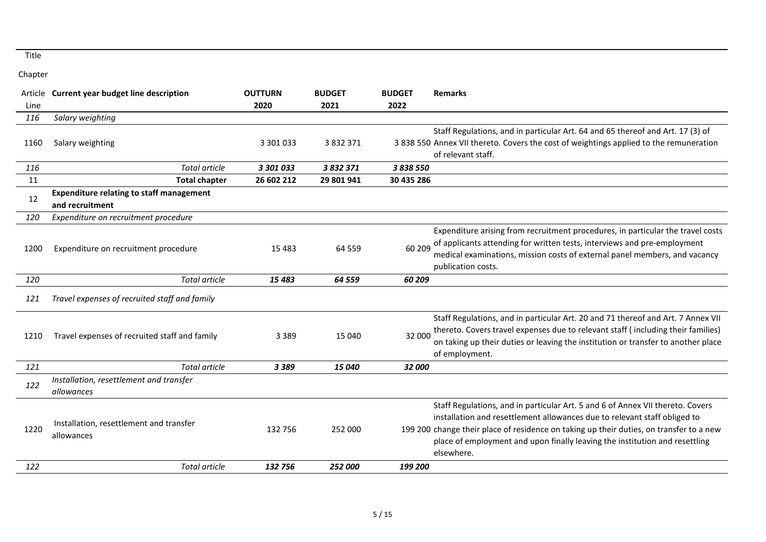|      | Article Current year budget line description                       | <b>OUTTURN</b> | <b>BUDGET</b> | <b>BUDGET</b> | <b>Remarks</b>                                                                                                                                                                                                                                                                                                                                      |
|------|--------------------------------------------------------------------|----------------|---------------|---------------|-----------------------------------------------------------------------------------------------------------------------------------------------------------------------------------------------------------------------------------------------------------------------------------------------------------------------------------------------------|
| Line |                                                                    | 2020           | 2021          | 2022          |                                                                                                                                                                                                                                                                                                                                                     |
| 116  | Salary weighting                                                   |                |               |               |                                                                                                                                                                                                                                                                                                                                                     |
| 1160 | Salary weighting                                                   | 3 301 033      | 3 8 3 2 3 7 1 |               | Staff Regulations, and in particular Art. 64 and 65 thereof and Art. 17 (3) of<br>3 838 550 Annex VII thereto. Covers the cost of weightings applied to the remuneration<br>of relevant staff.                                                                                                                                                      |
| 116  | Total article                                                      | 3 301 033      | 3 832 371     | 3 838 550     |                                                                                                                                                                                                                                                                                                                                                     |
| 11   | <b>Total chapter</b>                                               | 26 602 212     | 29 801 941    | 30 435 286    |                                                                                                                                                                                                                                                                                                                                                     |
| 12   | <b>Expenditure relating to staff management</b><br>and recruitment |                |               |               |                                                                                                                                                                                                                                                                                                                                                     |
| 120  | Expenditure on recruitment procedure                               |                |               |               |                                                                                                                                                                                                                                                                                                                                                     |
| 1200 | Expenditure on recruitment procedure                               | 15 4 83        | 64 559        | 60 209        | Expenditure arising from recruitment procedures, in particular the travel costs<br>of applicants attending for written tests, interviews and pre-employment<br>medical examinations, mission costs of external panel members, and vacancy<br>publication costs.                                                                                     |
| 120  | <b>Total article</b>                                               | 15 4 83        | 64 559        | 60 209        |                                                                                                                                                                                                                                                                                                                                                     |
| 121  | Travel expenses of recruited staff and family                      |                |               |               |                                                                                                                                                                                                                                                                                                                                                     |
| 1210 | Travel expenses of recruited staff and family                      | 3 3 8 9        | 15 040        | 32 000        | Staff Regulations, and in particular Art. 20 and 71 thereof and Art. 7 Annex VII<br>thereto. Covers travel expenses due to relevant staff (including their families)<br>on taking up their duties or leaving the institution or transfer to another place<br>of employment.                                                                         |
| 121  | <b>Total article</b>                                               | 3389           | 15 040        | 32 000        |                                                                                                                                                                                                                                                                                                                                                     |
| 122  | Installation, resettlement and transfer<br>allowances              |                |               |               |                                                                                                                                                                                                                                                                                                                                                     |
| 1220 | Installation, resettlement and transfer<br>allowances              | 132 756        | 252 000       |               | Staff Regulations, and in particular Art. 5 and 6 of Annex VII thereto. Covers<br>installation and resettlement allowances due to relevant staff obliged to<br>199 200 change their place of residence on taking up their duties, on transfer to a new<br>place of employment and upon finally leaving the institution and resettling<br>elsewhere. |
| 122  | Total article                                                      | 132756         | 252 000       | 199 200       |                                                                                                                                                                                                                                                                                                                                                     |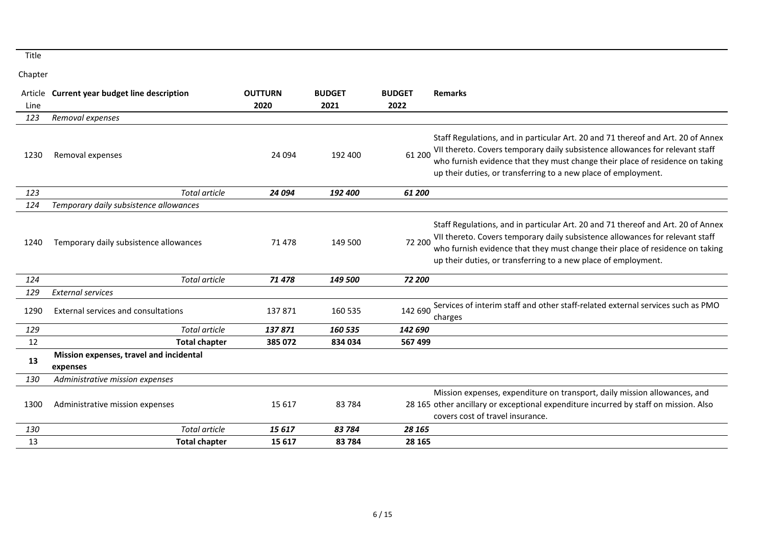|      | Article Current year budget line description        | <b>OUTTURN</b> | <b>BUDGET</b> | <b>BUDGET</b> | <b>Remarks</b>                                                                                                                                                                                                                                                                                                       |
|------|-----------------------------------------------------|----------------|---------------|---------------|----------------------------------------------------------------------------------------------------------------------------------------------------------------------------------------------------------------------------------------------------------------------------------------------------------------------|
| Line |                                                     | 2020           | 2021          | 2022          |                                                                                                                                                                                                                                                                                                                      |
| 123  | Removal expenses                                    |                |               |               |                                                                                                                                                                                                                                                                                                                      |
| 1230 | Removal expenses                                    | 24 094         | 192 400       | 61 200        | Staff Regulations, and in particular Art. 20 and 71 thereof and Art. 20 of Annex<br>VII thereto. Covers temporary daily subsistence allowances for relevant staff<br>who furnish evidence that they must change their place of residence on taking<br>up their duties, or transferring to a new place of employment. |
| 123  | <b>Total article</b>                                | 24 094         | 192 400       | 61 200        |                                                                                                                                                                                                                                                                                                                      |
| 124  | Temporary daily subsistence allowances              |                |               |               |                                                                                                                                                                                                                                                                                                                      |
| 1240 | Temporary daily subsistence allowances              | 71 478         | 149 500       | 72 200        | Staff Regulations, and in particular Art. 20 and 71 thereof and Art. 20 of Annex<br>VII thereto. Covers temporary daily subsistence allowances for relevant staff<br>who furnish evidence that they must change their place of residence on taking<br>up their duties, or transferring to a new place of employment. |
| 124  | <b>Total article</b>                                | 71 478         | 149 500       | 72 200        |                                                                                                                                                                                                                                                                                                                      |
| 129  | <b>External services</b>                            |                |               |               |                                                                                                                                                                                                                                                                                                                      |
| 1290 | External services and consultations                 | 137871         | 160 535       | 142 690       | Services of interim staff and other staff-related external services such as PMO<br>charges                                                                                                                                                                                                                           |
| 129  | Total article                                       | 137871         | 160 535       | 142 690       |                                                                                                                                                                                                                                                                                                                      |
| 12   | <b>Total chapter</b>                                | 385 072        | 834 034       | 567 499       |                                                                                                                                                                                                                                                                                                                      |
| 13   | Mission expenses, travel and incidental<br>expenses |                |               |               |                                                                                                                                                                                                                                                                                                                      |
| 130  | Administrative mission expenses                     |                |               |               |                                                                                                                                                                                                                                                                                                                      |
| 1300 | Administrative mission expenses                     | 15 6 17        | 83784         |               | Mission expenses, expenditure on transport, daily mission allowances, and<br>28 165 other ancillary or exceptional expenditure incurred by staff on mission. Also<br>covers cost of travel insurance.                                                                                                                |
| 130  | Total article                                       | 15617          | 83 7 84       | 28 165        |                                                                                                                                                                                                                                                                                                                      |
| 13   | <b>Total chapter</b>                                | 15 6 17        | 83784         | 28 165        |                                                                                                                                                                                                                                                                                                                      |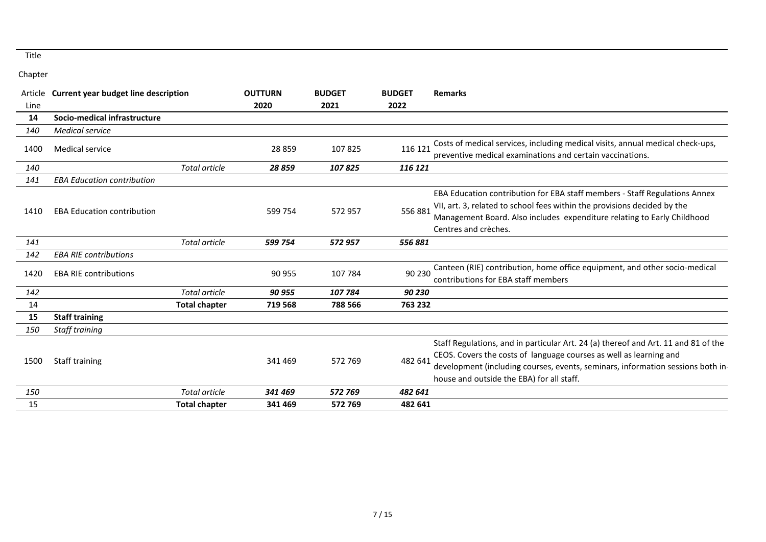|      | Article Current year budget line description |                      | <b>OUTTURN</b> | <b>BUDGET</b> | <b>BUDGET</b> | Remarks                                                                                                                                                                                                                                                                                  |
|------|----------------------------------------------|----------------------|----------------|---------------|---------------|------------------------------------------------------------------------------------------------------------------------------------------------------------------------------------------------------------------------------------------------------------------------------------------|
| Line |                                              |                      | 2020           | 2021          | 2022          |                                                                                                                                                                                                                                                                                          |
| 14   | Socio-medical infrastructure                 |                      |                |               |               |                                                                                                                                                                                                                                                                                          |
| 140  | <b>Medical service</b>                       |                      |                |               |               |                                                                                                                                                                                                                                                                                          |
| 1400 | <b>Medical service</b>                       |                      | 28 859         | 107825        | 116 121       | Costs of medical services, including medical visits, annual medical check-ups,<br>preventive medical examinations and certain vaccinations.                                                                                                                                              |
| 140  |                                              | Total article        | 28859          | 107825        | 116 121       |                                                                                                                                                                                                                                                                                          |
| 141  | <b>EBA Education contribution</b>            |                      |                |               |               |                                                                                                                                                                                                                                                                                          |
| 1410 | <b>EBA Education contribution</b>            |                      | 599 754        | 572957        | 556 881       | EBA Education contribution for EBA staff members - Staff Regulations Annex<br>VII, art. 3, related to school fees within the provisions decided by the<br>Management Board. Also includes expenditure relating to Early Childhood<br>Centres and crèches.                                |
| 141  |                                              | Total article        | 599 754        | 572 957       | 556881        |                                                                                                                                                                                                                                                                                          |
| 142  | <b>EBA RIE contributions</b>                 |                      |                |               |               |                                                                                                                                                                                                                                                                                          |
| 1420 | <b>EBA RIE contributions</b>                 |                      | 90 955         | 107 784       | 90 230        | Canteen (RIE) contribution, home office equipment, and other socio-medical<br>contributions for EBA staff members                                                                                                                                                                        |
| 142  |                                              | Total article        | 90 955         | 107 784       | 90 230        |                                                                                                                                                                                                                                                                                          |
| 14   |                                              | <b>Total chapter</b> | 719 568        | 788 566       | 763 232       |                                                                                                                                                                                                                                                                                          |
| 15   | <b>Staff training</b>                        |                      |                |               |               |                                                                                                                                                                                                                                                                                          |
| 150  | Staff training                               |                      |                |               |               |                                                                                                                                                                                                                                                                                          |
| 1500 | Staff training                               |                      | 341 469        | 572 769       | 482 641       | Staff Regulations, and in particular Art. 24 (a) thereof and Art. 11 and 81 of the<br>CEOS. Covers the costs of language courses as well as learning and<br>development (including courses, events, seminars, information sessions both in-<br>house and outside the EBA) for all staff. |
| 150  |                                              | <b>Total article</b> | 341 469        | 572 769       | 482 641       |                                                                                                                                                                                                                                                                                          |
| 15   |                                              | <b>Total chapter</b> | 341 469        | 572769        | 482 641       |                                                                                                                                                                                                                                                                                          |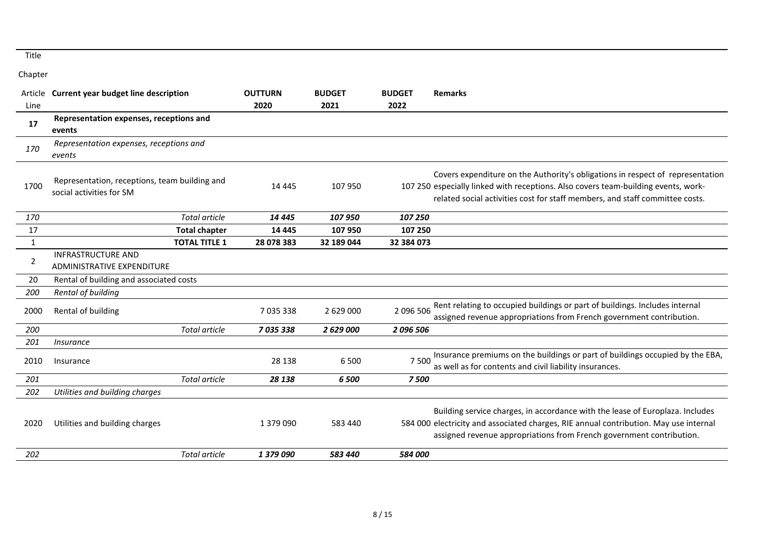|      | Article Current year budget line description                              | <b>OUTTURN</b> | <b>BUDGET</b> | <b>BUDGET</b> | <b>Remarks</b>                                                                                                                                                                                                                                       |
|------|---------------------------------------------------------------------------|----------------|---------------|---------------|------------------------------------------------------------------------------------------------------------------------------------------------------------------------------------------------------------------------------------------------------|
| Line |                                                                           | 2020           | 2021          | 2022          |                                                                                                                                                                                                                                                      |
| 17   | Representation expenses, receptions and<br>events                         |                |               |               |                                                                                                                                                                                                                                                      |
| 170  | Representation expenses, receptions and<br>events                         |                |               |               |                                                                                                                                                                                                                                                      |
| 1700 | Representation, receptions, team building and<br>social activities for SM | 14 4 45        | 107 950       |               | Covers expenditure on the Authority's obligations in respect of representation<br>107 250 especially linked with receptions. Also covers team-building events, work-<br>related social activities cost for staff members, and staff committee costs. |
| 170  | Total article                                                             | 14 4 45        | 107 950       | 107 250       |                                                                                                                                                                                                                                                      |
| 17   | <b>Total chapter</b>                                                      | 14 4 45        | 107 950       | 107 250       |                                                                                                                                                                                                                                                      |
| 1    | <b>TOTAL TITLE 1</b>                                                      | 28 078 383     | 32 189 044    | 32 384 073    |                                                                                                                                                                                                                                                      |
| 2    | <b>INFRASTRUCTURE AND</b><br><b>ADMINISTRATIVE EXPENDITURE</b>            |                |               |               |                                                                                                                                                                                                                                                      |
| 20   | Rental of building and associated costs                                   |                |               |               |                                                                                                                                                                                                                                                      |
| 200  | Rental of building                                                        |                |               |               |                                                                                                                                                                                                                                                      |
| 2000 | Rental of building                                                        | 7 0 3 5 3 3 8  | 2 629 000     | 2 096 506     | Rent relating to occupied buildings or part of buildings. Includes internal<br>assigned revenue appropriations from French government contribution.                                                                                                  |
| 200  | <b>Total article</b>                                                      | 7 035 338      | 2 629 000     | 2096506       |                                                                                                                                                                                                                                                      |
| 201  | Insurance                                                                 |                |               |               |                                                                                                                                                                                                                                                      |
| 2010 | Insurance                                                                 | 28 138         | 6 500         | 7 500         | Insurance premiums on the buildings or part of buildings occupied by the EBA,<br>as well as for contents and civil liability insurances.                                                                                                             |
| 201  | Total article                                                             | 28 138         | 6 500         | 7500          |                                                                                                                                                                                                                                                      |
| 202  | Utilities and building charges                                            |                |               |               |                                                                                                                                                                                                                                                      |
| 2020 | Utilities and building charges                                            | 1 379 090      | 583 440       |               | Building service charges, in accordance with the lease of Europlaza. Includes<br>584 000 electricity and associated charges, RIE annual contribution. May use internal<br>assigned revenue appropriations from French government contribution.       |
| 202  | Total article                                                             | 1 379 090      | 583 440       | 584 000       |                                                                                                                                                                                                                                                      |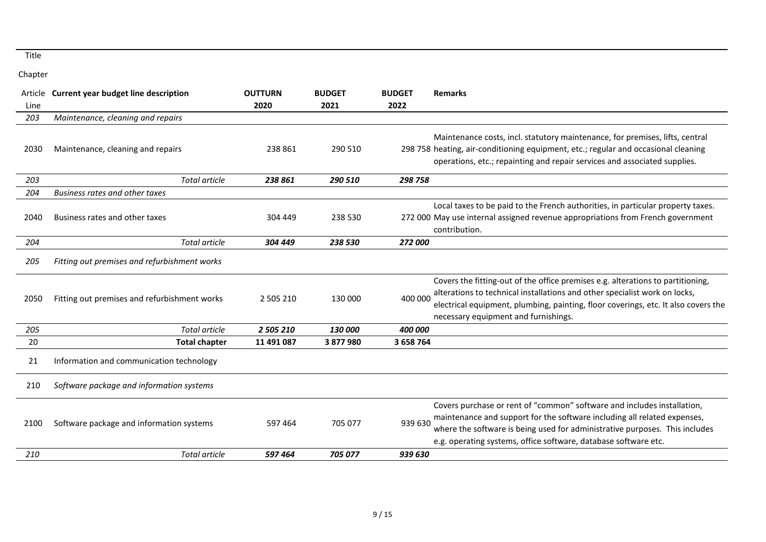|      | Article Current year budget line description | <b>OUTTURN</b> | <b>BUDGET</b> | <b>BUDGET</b> | <b>Remarks</b>                                                                                                                                                                                                                                                                                        |
|------|----------------------------------------------|----------------|---------------|---------------|-------------------------------------------------------------------------------------------------------------------------------------------------------------------------------------------------------------------------------------------------------------------------------------------------------|
| Line |                                              | 2020           | 2021          | 2022          |                                                                                                                                                                                                                                                                                                       |
| 203  | Maintenance, cleaning and repairs            |                |               |               |                                                                                                                                                                                                                                                                                                       |
| 2030 | Maintenance, cleaning and repairs            | 238 861        | 290 510       |               | Maintenance costs, incl. statutory maintenance, for premises, lifts, central<br>298 758 heating, air-conditioning equipment, etc.; regular and occasional cleaning<br>operations, etc.; repainting and repair services and associated supplies.                                                       |
| 203  | Total article                                | 238 861        | 290 510       | 298 758       |                                                                                                                                                                                                                                                                                                       |
| 204  | Business rates and other taxes               |                |               |               |                                                                                                                                                                                                                                                                                                       |
| 2040 | Business rates and other taxes               | 304 449        | 238 530       |               | Local taxes to be paid to the French authorities, in particular property taxes.<br>272 000 May use internal assigned revenue appropriations from French government<br>contribution.                                                                                                                   |
| 204  | Total article                                | 304 449        | 238 530       | 272 000       |                                                                                                                                                                                                                                                                                                       |
| 205  | Fitting out premises and refurbishment works |                |               |               |                                                                                                                                                                                                                                                                                                       |
| 2050 | Fitting out premises and refurbishment works | 2 505 210      | 130 000       | 400 000       | Covers the fitting-out of the office premises e.g. alterations to partitioning,<br>alterations to technical installations and other specialist work on locks,<br>electrical equipment, plumbing, painting, floor coverings, etc. It also covers the<br>necessary equipment and furnishings.           |
| 205  | Total article                                | 2 505 210      | 130 000       | 400 000       |                                                                                                                                                                                                                                                                                                       |
| 20   | <b>Total chapter</b>                         | 11 491 087     | 3 877 980     | 3 658 764     |                                                                                                                                                                                                                                                                                                       |
| 21   | Information and communication technology     |                |               |               |                                                                                                                                                                                                                                                                                                       |
| 210  | Software package and information systems     |                |               |               |                                                                                                                                                                                                                                                                                                       |
| 2100 | Software package and information systems     | 597 464        | 705 077       | 939 630       | Covers purchase or rent of "common" software and includes installation,<br>maintenance and support for the software including all related expenses,<br>where the software is being used for administrative purposes. This includes<br>e.g. operating systems, office software, database software etc. |
| 210  | <b>Total article</b>                         | 597464         | 705 077       | 939 630       |                                                                                                                                                                                                                                                                                                       |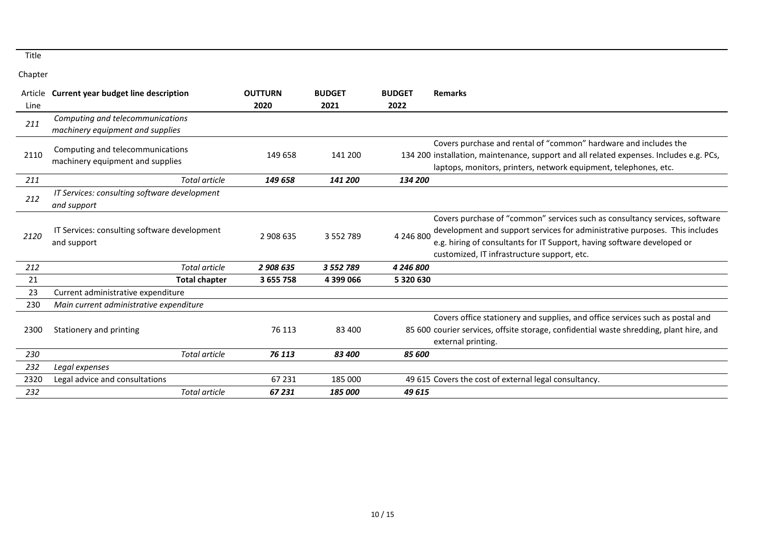|      | Article Current year budget line description                         | <b>OUTTURN</b> | <b>BUDGET</b> | <b>BUDGET</b> | <b>Remarks</b>                                                                                                                                                                                                                                                                       |
|------|----------------------------------------------------------------------|----------------|---------------|---------------|--------------------------------------------------------------------------------------------------------------------------------------------------------------------------------------------------------------------------------------------------------------------------------------|
| Line |                                                                      | 2020           | 2021          | 2022          |                                                                                                                                                                                                                                                                                      |
| 211  | Computing and telecommunications<br>machinery equipment and supplies |                |               |               |                                                                                                                                                                                                                                                                                      |
| 2110 | Computing and telecommunications<br>machinery equipment and supplies | 149 658        | 141 200       |               | Covers purchase and rental of "common" hardware and includes the<br>134 200 installation, maintenance, support and all related expenses. Includes e.g. PCs,<br>laptops, monitors, printers, network equipment, telephones, etc.                                                      |
| 211  | Total article                                                        | 149 658        | 141 200       | 134 200       |                                                                                                                                                                                                                                                                                      |
| 212  | IT Services: consulting software development<br>and support          |                |               |               |                                                                                                                                                                                                                                                                                      |
| 2120 | IT Services: consulting software development<br>and support          | 2 908 635      | 3 5 5 2 7 8 9 | 4 246 800     | Covers purchase of "common" services such as consultancy services, software<br>development and support services for administrative purposes. This includes<br>e.g. hiring of consultants for IT Support, having software developed or<br>customized, IT infrastructure support, etc. |
| 212  | <b>Total article</b>                                                 | 2 908 635      | 3 5 5 2 7 8 9 | 4 246 800     |                                                                                                                                                                                                                                                                                      |
| 21   | <b>Total chapter</b>                                                 | 3 655 758      | 4 399 066     | 5 320 630     |                                                                                                                                                                                                                                                                                      |
| 23   | Current administrative expenditure                                   |                |               |               |                                                                                                                                                                                                                                                                                      |
| 230  | Main current administrative expenditure                              |                |               |               |                                                                                                                                                                                                                                                                                      |
| 2300 | Stationery and printing                                              | 76 113         | 83 400        |               | Covers office stationery and supplies, and office services such as postal and<br>85 600 courier services, offsite storage, confidential waste shredding, plant hire, and<br>external printing.                                                                                       |
| 230  | Total article                                                        | 76 113         | 83 400        | 85 600        |                                                                                                                                                                                                                                                                                      |
| 232  | Legal expenses                                                       |                |               |               |                                                                                                                                                                                                                                                                                      |
| 2320 | Legal advice and consultations                                       | 67 231         | 185 000       |               | 49 615 Covers the cost of external legal consultancy.                                                                                                                                                                                                                                |
| 232  | <b>Total article</b>                                                 | 67 231         | 185 000       | 49 615        |                                                                                                                                                                                                                                                                                      |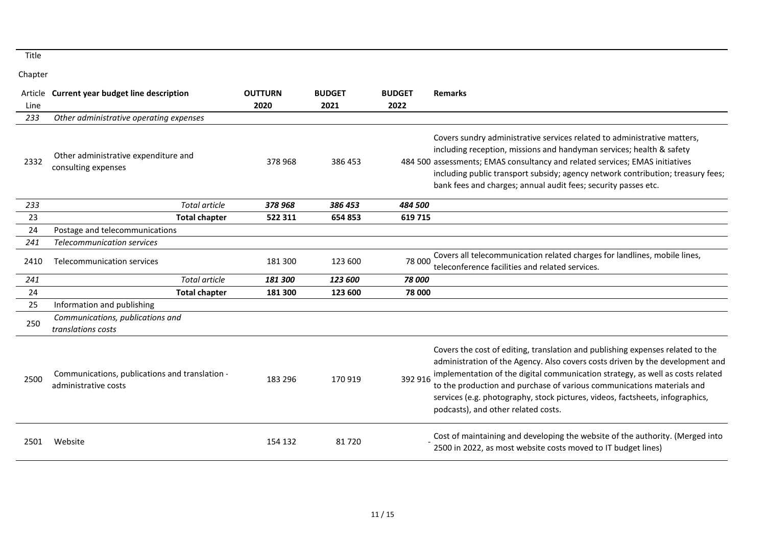|      | Article Current year budget line description                           | <b>OUTTURN</b> | <b>BUDGET</b> | <b>BUDGET</b> | <b>Remarks</b>                                                                                                                                                                                                                                                                                                                                                                                                                                      |
|------|------------------------------------------------------------------------|----------------|---------------|---------------|-----------------------------------------------------------------------------------------------------------------------------------------------------------------------------------------------------------------------------------------------------------------------------------------------------------------------------------------------------------------------------------------------------------------------------------------------------|
| Line |                                                                        | 2020           | 2021          | 2022          |                                                                                                                                                                                                                                                                                                                                                                                                                                                     |
| 233  | Other administrative operating expenses                                |                |               |               |                                                                                                                                                                                                                                                                                                                                                                                                                                                     |
| 2332 | Other administrative expenditure and<br>consulting expenses            | 378 968        | 386 453       |               | Covers sundry administrative services related to administrative matters,<br>including reception, missions and handyman services; health & safety<br>484 500 assessments; EMAS consultancy and related services; EMAS initiatives<br>including public transport subsidy; agency network contribution; treasury fees;<br>bank fees and charges; annual audit fees; security passes etc.                                                               |
| 233  | <b>Total article</b>                                                   | 378968         | 386 453       | 484 500       |                                                                                                                                                                                                                                                                                                                                                                                                                                                     |
| 23   | <b>Total chapter</b>                                                   | 522 311        | 654 853       | 619 715       |                                                                                                                                                                                                                                                                                                                                                                                                                                                     |
| 24   | Postage and telecommunications                                         |                |               |               |                                                                                                                                                                                                                                                                                                                                                                                                                                                     |
| 241  | <b>Telecommunication services</b>                                      |                |               |               |                                                                                                                                                                                                                                                                                                                                                                                                                                                     |
| 2410 | Telecommunication services                                             | 181 300        | 123 600       | 78 000        | Covers all telecommunication related charges for landlines, mobile lines,<br>teleconference facilities and related services.                                                                                                                                                                                                                                                                                                                        |
| 241  | <b>Total article</b>                                                   | 181 300        | 123 600       | 78 000        |                                                                                                                                                                                                                                                                                                                                                                                                                                                     |
| 24   | <b>Total chapter</b>                                                   | 181 300        | 123 600       | 78 000        |                                                                                                                                                                                                                                                                                                                                                                                                                                                     |
| 25   | Information and publishing                                             |                |               |               |                                                                                                                                                                                                                                                                                                                                                                                                                                                     |
| 250  | Communications, publications and<br>translations costs                 |                |               |               |                                                                                                                                                                                                                                                                                                                                                                                                                                                     |
| 2500 | Communications, publications and translation -<br>administrative costs | 183 296        | 170919        | 392 916       | Covers the cost of editing, translation and publishing expenses related to the<br>administration of the Agency. Also covers costs driven by the development and<br>implementation of the digital communication strategy, as well as costs related<br>to the production and purchase of various communications materials and<br>services (e.g. photography, stock pictures, videos, factsheets, infographics,<br>podcasts), and other related costs. |
| 2501 | Website                                                                | 154 132        | 81720         |               | Cost of maintaining and developing the website of the authority. (Merged into<br>2500 in 2022, as most website costs moved to IT budget lines)                                                                                                                                                                                                                                                                                                      |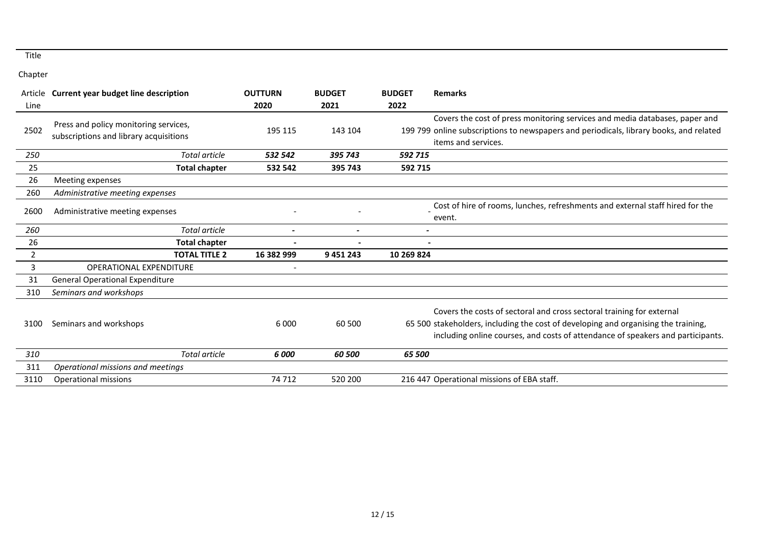|      | Article Current year budget line description                                    | <b>OUTTURN</b> | <b>BUDGET</b> | <b>BUDGET</b> | <b>Remarks</b>                                                                                                                                                                                                                                 |
|------|---------------------------------------------------------------------------------|----------------|---------------|---------------|------------------------------------------------------------------------------------------------------------------------------------------------------------------------------------------------------------------------------------------------|
| Line |                                                                                 | 2020           | 2021          | 2022          |                                                                                                                                                                                                                                                |
| 2502 | Press and policy monitoring services,<br>subscriptions and library acquisitions | 195 115        | 143 104       |               | Covers the cost of press monitoring services and media databases, paper and<br>199 799 online subscriptions to newspapers and periodicals, library books, and related<br>items and services.                                                   |
| 250  | Total article                                                                   | 532 542        | 395 743       | 592 715       |                                                                                                                                                                                                                                                |
| 25   | <b>Total chapter</b>                                                            | 532 542        | 395 743       | 592 715       |                                                                                                                                                                                                                                                |
| 26   | Meeting expenses                                                                |                |               |               |                                                                                                                                                                                                                                                |
| 260  | Administrative meeting expenses                                                 |                |               |               |                                                                                                                                                                                                                                                |
| 2600 | Administrative meeting expenses                                                 |                |               |               | Cost of hire of rooms, lunches, refreshments and external staff hired for the<br>event.                                                                                                                                                        |
| 260  | <b>Total article</b>                                                            |                |               |               |                                                                                                                                                                                                                                                |
| 26   | <b>Total chapter</b>                                                            |                |               |               |                                                                                                                                                                                                                                                |
| 2    | <b>TOTAL TITLE 2</b>                                                            | 16 382 999     | 9 451 243     | 10 269 824    |                                                                                                                                                                                                                                                |
| 3    | OPERATIONAL EXPENDITURE                                                         |                |               |               |                                                                                                                                                                                                                                                |
| 31   | <b>General Operational Expenditure</b>                                          |                |               |               |                                                                                                                                                                                                                                                |
| 310  | Seminars and workshops                                                          |                |               |               |                                                                                                                                                                                                                                                |
| 3100 | Seminars and workshops                                                          | 6 0 0 0        | 60 500        |               | Covers the costs of sectoral and cross sectoral training for external<br>65 500 stakeholders, including the cost of developing and organising the training,<br>including online courses, and costs of attendance of speakers and participants. |
| 310  | <b>Total article</b>                                                            | 6 000          | 60 500        | 65 500        |                                                                                                                                                                                                                                                |
| 311  | Operational missions and meetings                                               |                |               |               |                                                                                                                                                                                                                                                |
| 3110 | Operational missions                                                            | 74 712         | 520 200       |               | 216 447 Operational missions of EBA staff.                                                                                                                                                                                                     |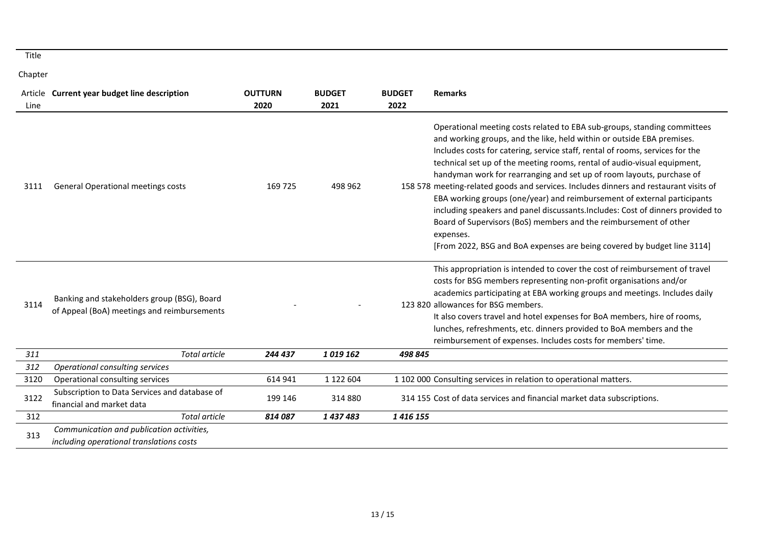|      | Article Current year budget line description                                               | <b>OUTTURN</b> | <b>BUDGET</b> | <b>BUDGET</b> | <b>Remarks</b>                                                                                                                                                                                                                                                                                                                                                                                                                                                                                                                                                                                                                                                                                                                                                                                                |
|------|--------------------------------------------------------------------------------------------|----------------|---------------|---------------|---------------------------------------------------------------------------------------------------------------------------------------------------------------------------------------------------------------------------------------------------------------------------------------------------------------------------------------------------------------------------------------------------------------------------------------------------------------------------------------------------------------------------------------------------------------------------------------------------------------------------------------------------------------------------------------------------------------------------------------------------------------------------------------------------------------|
| Line |                                                                                            | 2020           | 2021          | 2022          |                                                                                                                                                                                                                                                                                                                                                                                                                                                                                                                                                                                                                                                                                                                                                                                                               |
| 3111 | General Operational meetings costs                                                         | 169 725        | 498 962       |               | Operational meeting costs related to EBA sub-groups, standing committees<br>and working groups, and the like, held within or outside EBA premises.<br>Includes costs for catering, service staff, rental of rooms, services for the<br>technical set up of the meeting rooms, rental of audio-visual equipment,<br>handyman work for rearranging and set up of room layouts, purchase of<br>158 578 meeting-related goods and services. Includes dinners and restaurant visits of<br>EBA working groups (one/year) and reimbursement of external participants<br>including speakers and panel discussants. Includes: Cost of dinners provided to<br>Board of Supervisors (BoS) members and the reimbursement of other<br>expenses.<br>[From 2022, BSG and BoA expenses are being covered by budget line 3114] |
| 3114 | Banking and stakeholders group (BSG), Board<br>of Appeal (BoA) meetings and reimbursements |                |               |               | This appropriation is intended to cover the cost of reimbursement of travel<br>costs for BSG members representing non-profit organisations and/or<br>academics participating at EBA working groups and meetings. Includes daily<br>123 820 allowances for BSG members.<br>It also covers travel and hotel expenses for BoA members, hire of rooms,<br>lunches, refreshments, etc. dinners provided to BoA members and the<br>reimbursement of expenses. Includes costs for members' time.                                                                                                                                                                                                                                                                                                                     |
| 311  | Total article                                                                              | 244 437        | 1019162       | 498 845       |                                                                                                                                                                                                                                                                                                                                                                                                                                                                                                                                                                                                                                                                                                                                                                                                               |
| 312  | Operational consulting services                                                            |                |               |               |                                                                                                                                                                                                                                                                                                                                                                                                                                                                                                                                                                                                                                                                                                                                                                                                               |
| 3120 | Operational consulting services                                                            | 614 941        | 1 122 604     |               | 1 102 000 Consulting services in relation to operational matters.                                                                                                                                                                                                                                                                                                                                                                                                                                                                                                                                                                                                                                                                                                                                             |
| 3122 | Subscription to Data Services and database of<br>financial and market data                 | 199 146        | 314880        |               | 314 155 Cost of data services and financial market data subscriptions.                                                                                                                                                                                                                                                                                                                                                                                                                                                                                                                                                                                                                                                                                                                                        |
| 312  | Total article                                                                              | 814087         | 1437483       | 1416155       |                                                                                                                                                                                                                                                                                                                                                                                                                                                                                                                                                                                                                                                                                                                                                                                                               |
| 313  | Communication and publication activities,<br>including operational translations costs      |                |               |               |                                                                                                                                                                                                                                                                                                                                                                                                                                                                                                                                                                                                                                                                                                                                                                                                               |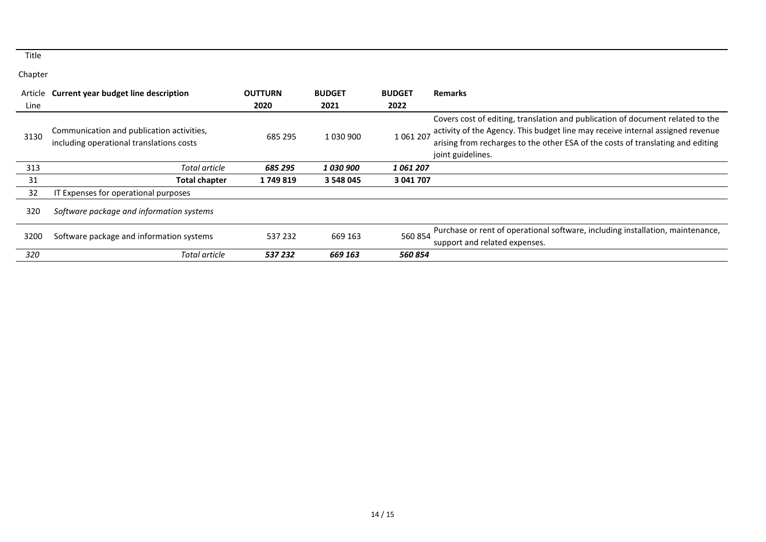| Article | <b>Current year budget line description</b>                                           | <b>OUTTURN</b> | <b>BUDGET</b> | <b>BUDGET</b> | <b>Remarks</b>                                                                                                                                                                                                                                                           |
|---------|---------------------------------------------------------------------------------------|----------------|---------------|---------------|--------------------------------------------------------------------------------------------------------------------------------------------------------------------------------------------------------------------------------------------------------------------------|
| Line    |                                                                                       | 2020           | 2021          | 2022          |                                                                                                                                                                                                                                                                          |
| 3130    | Communication and publication activities,<br>including operational translations costs | 685 295        | 1 0 3 0 9 0 0 | 1 061 207     | Covers cost of editing, translation and publication of document related to the<br>activity of the Agency. This budget line may receive internal assigned revenue<br>arising from recharges to the other ESA of the costs of translating and editing<br>joint guidelines. |
| 313     | Total article                                                                         | 685 295        | 1 030 900     | 1061207       |                                                                                                                                                                                                                                                                          |
| 31      | <b>Total chapter</b>                                                                  | 1749819        | 3 548 045     | 3 041 707     |                                                                                                                                                                                                                                                                          |
| 32      | Expenses for operational purposes                                                     |                |               |               |                                                                                                                                                                                                                                                                          |
| 320     | Software package and information systems                                              |                |               |               |                                                                                                                                                                                                                                                                          |
| 3200    | Software package and information systems                                              | 537 232        | 669 163       | 560 854       | Purchase or rent of operational software, including installation, maintenance,<br>support and related expenses.                                                                                                                                                          |
| 320     | Total article                                                                         | 537 232        | 669 163       | 560 854       |                                                                                                                                                                                                                                                                          |